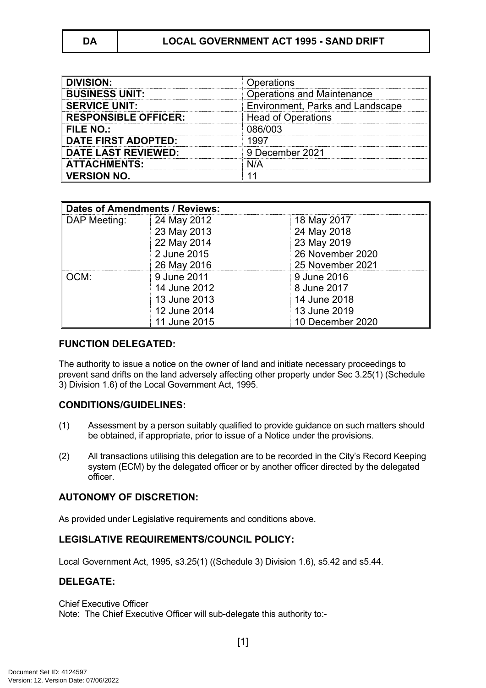| <b>DIVISION:</b>            | Operations                        |
|-----------------------------|-----------------------------------|
| <b>BUSINESS UNIT:</b>       | <b>Operations and Maintenance</b> |
| <b>SERVICE UNIT:</b>        | Environment, Parks and Landscape  |
| <b>RESPONSIBLE OFFICER:</b> | <b>Head of Operations</b>         |
| FILE NO.:                   | 086/003                           |
| <b>DATE FIRST ADOPTED:</b>  | 1997                              |
| <b>DATE LAST REVIEWED:</b>  | 9 December 2021                   |
| <b>ATTACHMENTS:</b>         | N/A                               |
| <b>VERSION NO.</b>          |                                   |

| <b>Dates of Amendments / Reviews:</b> |              |                  |
|---------------------------------------|--------------|------------------|
| DAP Meeting:                          | 24 May 2012  | 18 May 2017      |
|                                       | 23 May 2013  | 24 May 2018      |
|                                       | 22 May 2014  | 23 May 2019      |
|                                       | 2 June 2015  | 26 November 2020 |
|                                       | 26 May 2016  | 25 November 2021 |
| OCM:                                  | 9 June 2011  | 9 June 2016      |
|                                       | 14 June 2012 | 8 June 2017      |
|                                       | 13 June 2013 | 14 June 2018     |
|                                       | 12 June 2014 | 13 June 2019     |
|                                       | 11 June 2015 | 10 December 2020 |

# **FUNCTION DELEGATED:**

The authority to issue a notice on the owner of land and initiate necessary proceedings to prevent sand drifts on the land adversely affecting other property under Sec 3.25(1) (Schedule 3) Division 1.6) of the Local Government Act, 1995.

### **CONDITIONS/GUIDELINES:**

- (1) Assessment by a person suitably qualified to provide guidance on such matters should be obtained, if appropriate, prior to issue of a Notice under the provisions.
- (2) All transactions utilising this delegation are to be recorded in the City's Record Keeping system (ECM) by the delegated officer or by another officer directed by the delegated officer.

# **AUTONOMY OF DISCRETION:**

As provided under Legislative requirements and conditions above.

### **LEGISLATIVE REQUIREMENTS/COUNCIL POLICY:**

Local Government Act, 1995, s3.25(1) ((Schedule 3) Division 1.6), s5.42 and s5.44.

#### **DELEGATE:**

#### Chief Executive Officer

Note: The Chief Executive Officer will sub-delegate this authority to:-

[1]